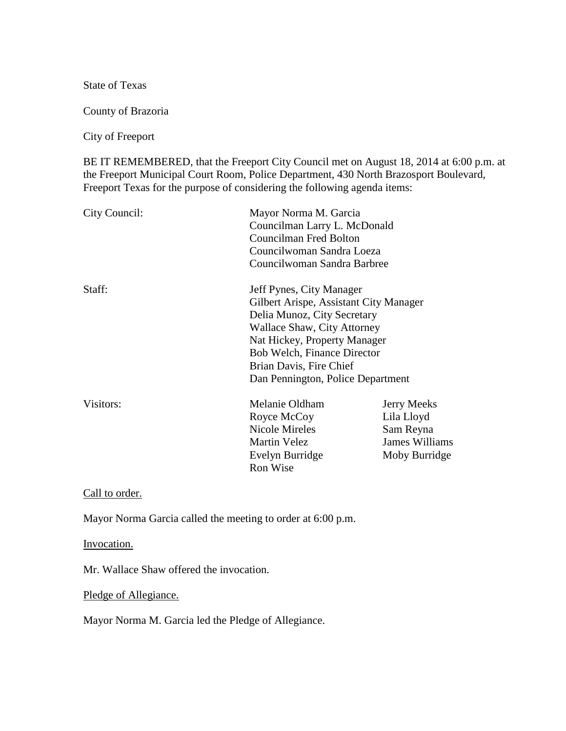State of Texas

County of Brazoria

City of Freeport

BE IT REMEMBERED, that the Freeport City Council met on August 18, 2014 at 6:00 p.m. at the Freeport Municipal Court Room, Police Department, 430 North Brazosport Boulevard, Freeport Texas for the purpose of considering the following agenda items:

| City Council:                      | Mayor Norma M. Garcia<br>Councilman Larry L. McDonald<br>Councilman Fred Bolton<br>Councilwoman Sandra Loeza<br>Councilwoman Sandra Barbree |                       |        |                                        |  |
|------------------------------------|---------------------------------------------------------------------------------------------------------------------------------------------|-----------------------|--------|----------------------------------------|--|
|                                    |                                                                                                                                             |                       |        |                                        |  |
|                                    |                                                                                                                                             |                       | Staff: | Jeff Pynes, City Manager               |  |
|                                    |                                                                                                                                             |                       |        | Gilbert Arispe, Assistant City Manager |  |
|                                    |                                                                                                                                             |                       |        | Delia Munoz, City Secretary            |  |
| Wallace Shaw, City Attorney        |                                                                                                                                             |                       |        |                                        |  |
| Nat Hickey, Property Manager       |                                                                                                                                             |                       |        |                                        |  |
| <b>Bob Welch, Finance Director</b> |                                                                                                                                             |                       |        |                                        |  |
| Brian Davis, Fire Chief            |                                                                                                                                             |                       |        |                                        |  |
| Dan Pennington, Police Department  |                                                                                                                                             |                       |        |                                        |  |
| Visitors:                          | Melanie Oldham                                                                                                                              | <b>Jerry Meeks</b>    |        |                                        |  |
|                                    | Royce McCoy                                                                                                                                 | Lila Lloyd            |        |                                        |  |
|                                    | Nicole Mireles                                                                                                                              | Sam Reyna             |        |                                        |  |
|                                    | <b>Martin Velez</b>                                                                                                                         | <b>James Williams</b> |        |                                        |  |
|                                    | Evelyn Burridge                                                                                                                             | Moby Burridge         |        |                                        |  |
|                                    | Ron Wise                                                                                                                                    |                       |        |                                        |  |

Call to order.

Mayor Norma Garcia called the meeting to order at 6:00 p.m.

Invocation.

Mr. Wallace Shaw offered the invocation.

Pledge of Allegiance.

Mayor Norma M. Garcia led the Pledge of Allegiance.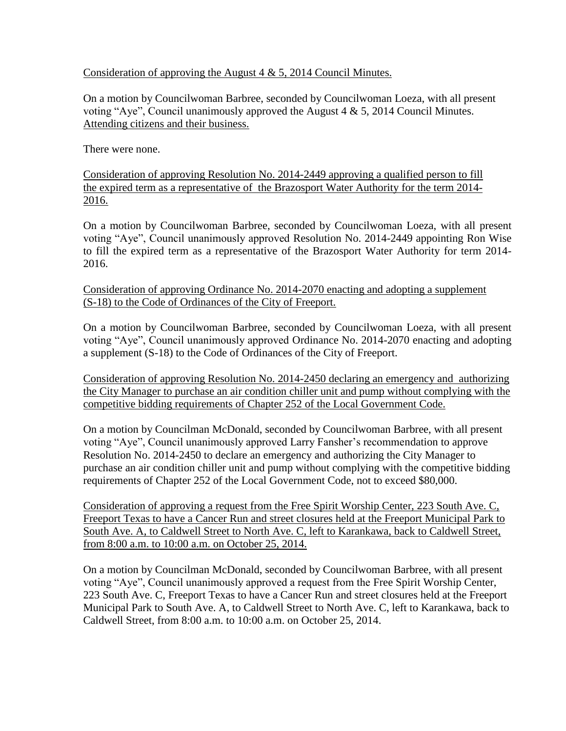Consideration of approving the August  $4 \& 5$ , 2014 Council Minutes.

On a motion by Councilwoman Barbree, seconded by Councilwoman Loeza, with all present voting "Aye", Council unanimously approved the August  $4 \& 5$ , 2014 Council Minutes. Attending citizens and their business.

There were none.

Consideration of approving Resolution No. 2014-2449 approving a qualified person to fill the expired term as a representative of the Brazosport Water Authority for the term 2014- 2016.

On a motion by Councilwoman Barbree, seconded by Councilwoman Loeza, with all present voting "Aye", Council unanimously approved Resolution No. 2014-2449 appointing Ron Wise to fill the expired term as a representative of the Brazosport Water Authority for term 2014- 2016.

Consideration of approving Ordinance No. 2014-2070 enacting and adopting a supplement (S-18) to the Code of Ordinances of the City of Freeport.

On a motion by Councilwoman Barbree, seconded by Councilwoman Loeza, with all present voting "Aye", Council unanimously approved Ordinance No. 2014-2070 enacting and adopting a supplement (S-18) to the Code of Ordinances of the City of Freeport.

Consideration of approving Resolution No. 2014-2450 declaring an emergency and authorizing the City Manager to purchase an air condition chiller unit and pump without complying with the competitive bidding requirements of Chapter 252 of the Local Government Code.

On a motion by Councilman McDonald, seconded by Councilwoman Barbree, with all present voting "Aye", Council unanimously approved Larry Fansher's recommendation to approve Resolution No. 2014-2450 to declare an emergency and authorizing the City Manager to purchase an air condition chiller unit and pump without complying with the competitive bidding requirements of Chapter 252 of the Local Government Code, not to exceed \$80,000.

Consideration of approving a request from the Free Spirit Worship Center, 223 South Ave. C, Freeport Texas to have a Cancer Run and street closures held at the Freeport Municipal Park to South Ave. A, to Caldwell Street to North Ave. C, left to Karankawa, back to Caldwell Street, from 8:00 a.m. to 10:00 a.m. on October 25, 2014.

On a motion by Councilman McDonald, seconded by Councilwoman Barbree, with all present voting "Aye", Council unanimously approved a request from the Free Spirit Worship Center, 223 South Ave. C, Freeport Texas to have a Cancer Run and street closures held at the Freeport Municipal Park to South Ave. A, to Caldwell Street to North Ave. C, left to Karankawa, back to Caldwell Street, from 8:00 a.m. to 10:00 a.m. on October 25, 2014.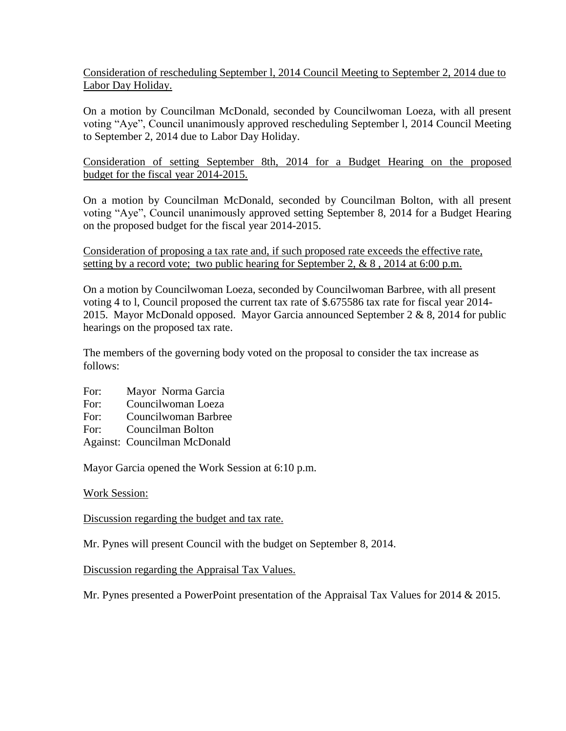## Consideration of rescheduling September l, 2014 Council Meeting to September 2, 2014 due to Labor Day Holiday.

On a motion by Councilman McDonald, seconded by Councilwoman Loeza, with all present voting "Aye", Council unanimously approved rescheduling September l, 2014 Council Meeting to September 2, 2014 due to Labor Day Holiday.

## Consideration of setting September 8th, 2014 for a Budget Hearing on the proposed budget for the fiscal year 2014-2015.

On a motion by Councilman McDonald, seconded by Councilman Bolton, with all present voting "Aye", Council unanimously approved setting September 8, 2014 for a Budget Hearing on the proposed budget for the fiscal year 2014-2015.

Consideration of proposing a tax rate and, if such proposed rate exceeds the effective rate, setting by a record vote; two public hearing for September 2,  $\& 8$ , 2014 at 6:00 p.m.

On a motion by Councilwoman Loeza, seconded by Councilwoman Barbree, with all present voting 4 to l, Council proposed the current tax rate of \$.675586 tax rate for fiscal year 2014- 2015. Mayor McDonald opposed. Mayor Garcia announced September 2 & 8, 2014 for public hearings on the proposed tax rate.

The members of the governing body voted on the proposal to consider the tax increase as follows:

- For: Mayor Norma Garcia
- For: Councilwoman Loeza
- For: Councilwoman Barbree
- For: Councilman Bolton
- Against: Councilman McDonald

Mayor Garcia opened the Work Session at 6:10 p.m.

## Work Session:

Discussion regarding the budget and tax rate.

Mr. Pynes will present Council with the budget on September 8, 2014.

Discussion regarding the Appraisal Tax Values.

Mr. Pynes presented a PowerPoint presentation of the Appraisal Tax Values for 2014 & 2015.